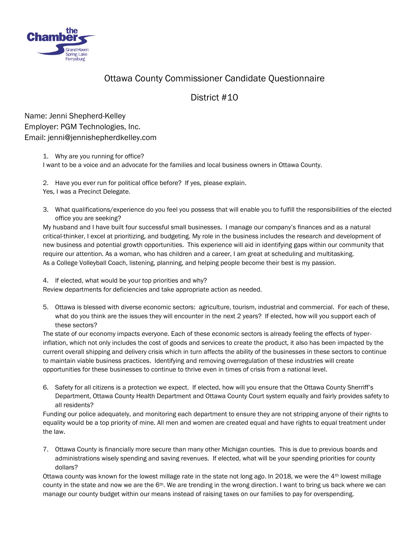

## Ottawa County Commissioner Candidate Questionnaire

## District #10

Name: Jenni Shepherd-Kelley Employer: PGM Technologies, Inc. Email: jenni@jennishepherdkelley.com

1. Why are you running for office?

I want to be a voice and an advocate for the families and local business owners in Ottawa County.

- 2. Have you ever run for political office before? If yes, please explain. Yes, I was a Precinct Delegate.
- 3. What qualifications/experience do you feel you possess that will enable you to fulfill the responsibilities of the elected office you are seeking?

My husband and I have built four successful small businesses. I manage our company's finances and as a natural critical-thinker, I excel at prioritizing, and budgeting. My role in the business includes the research and development of new business and potential growth opportunities. This experience will aid in identifying gaps within our community that require our attention. As a woman, who has children and a career, I am great at scheduling and multitasking. As a College Volleyball Coach, listening, planning, and helping people become their best is my passion.

4. If elected, what would be your top priorities and why?

Review departments for deficiencies and take appropriate action as needed.

5. Ottawa is blessed with diverse economic sectors: agriculture, tourism, industrial and commercial. For each of these, what do you think are the issues they will encounter in the next 2 years? If elected, how will you support each of these sectors?

The state of our economy impacts everyone. Each of these economic sectors is already feeling the effects of hyperinflation, which not only includes the cost of goods and services to create the product, it also has been impacted by the current overall shipping and delivery crisis which in turn affects the ability of the businesses in these sectors to continue to maintain viable business practices. Identifying and removing overregulation of these industries will create opportunities for these businesses to continue to thrive even in times of crisis from a national level.

6. Safety for all citizens is a protection we expect. If elected, how will you ensure that the Ottawa County Sherriff's Department, Ottawa County Health Department and Ottawa County Court system equally and fairly provides safety to all residents?

Funding our police adequately, and monitoring each department to ensure they are not stripping anyone of their rights to equality would be a top priority of mine. All men and women are created equal and have rights to equal treatment under the law.

7. Ottawa County is financially more secure than many other Michigan counties. This is due to previous boards and administrations wisely spending and saving revenues. If elected, what will be your spending priorities for county dollars?

Ottawa county was known for the lowest millage rate in the state not long ago. In 2018, we were the 4<sup>th</sup> lowest millage county in the state and now we are the  $6<sup>th</sup>$ . We are trending in the wrong direction. I want to bring us back where we can manage our county budget within our means instead of raising taxes on our families to pay for overspending.